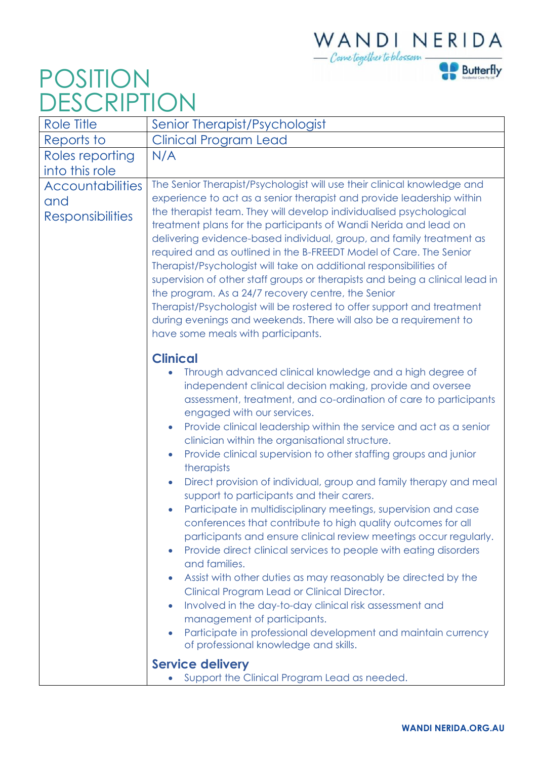## WANDINERIDA<br>- Connetogether to blossom



## POSITION DESCRIPTION

| Role Title                                                | Senior Therapist/Psychologist                                                                                                                                                                                                                                                                                                                                                                                                                                                                                                                                                                                                                                                                                                                                                                                                                                                                                                                                                                                                                                                                                                                                                                                                                                                                                                                                              |
|-----------------------------------------------------------|----------------------------------------------------------------------------------------------------------------------------------------------------------------------------------------------------------------------------------------------------------------------------------------------------------------------------------------------------------------------------------------------------------------------------------------------------------------------------------------------------------------------------------------------------------------------------------------------------------------------------------------------------------------------------------------------------------------------------------------------------------------------------------------------------------------------------------------------------------------------------------------------------------------------------------------------------------------------------------------------------------------------------------------------------------------------------------------------------------------------------------------------------------------------------------------------------------------------------------------------------------------------------------------------------------------------------------------------------------------------------|
| Reports to                                                | Clinical Program Lead                                                                                                                                                                                                                                                                                                                                                                                                                                                                                                                                                                                                                                                                                                                                                                                                                                                                                                                                                                                                                                                                                                                                                                                                                                                                                                                                                      |
| Roles reporting                                           | N/A                                                                                                                                                                                                                                                                                                                                                                                                                                                                                                                                                                                                                                                                                                                                                                                                                                                                                                                                                                                                                                                                                                                                                                                                                                                                                                                                                                        |
| into this role                                            |                                                                                                                                                                                                                                                                                                                                                                                                                                                                                                                                                                                                                                                                                                                                                                                                                                                                                                                                                                                                                                                                                                                                                                                                                                                                                                                                                                            |
| <b>Accountabilities</b><br>and<br><b>Responsibilities</b> | The Senior Therapist/Psychologist will use their clinical knowledge and<br>experience to act as a senior therapist and provide leadership within<br>the therapist team. They will develop individualised psychological<br>treatment plans for the participants of Wandi Nerida and lead on<br>delivering evidence-based individual, group, and family treatment as<br>required and as outlined in the B-FREEDT Model of Care. The Senior<br>Therapist/Psychologist will take on additional responsibilities of<br>supervision of other staff groups or therapists and being a clinical lead in<br>the program. As a 24/7 recovery centre, the Senior<br>Therapist/Psychologist will be rostered to offer support and treatment<br>during evenings and weekends. There will also be a requirement to<br>have some meals with participants.                                                                                                                                                                                                                                                                                                                                                                                                                                                                                                                                  |
|                                                           | <b>Clinical</b><br>Through advanced clinical knowledge and a high degree of<br>independent clinical decision making, provide and oversee<br>assessment, treatment, and co-ordination of care to participants<br>engaged with our services.<br>Provide clinical leadership within the service and act as a senior<br>$\bullet$<br>clinician within the organisational structure.<br>Provide clinical supervision to other staffing groups and junior<br>$\bullet$<br>therapists<br>Direct provision of individual, group and family therapy and meal<br>$\bullet$<br>support to participants and their carers.<br>Participate in multidisciplinary meetings, supervision and case<br>$\bullet$<br>conferences that contribute to high quality outcomes for all<br>participants and ensure clinical review meetings occur regularly.<br>Provide direct clinical services to people with eating disorders<br>$\bullet$<br>and families.<br>Assist with other duties as may reasonably be directed by the<br>$\bullet$<br>Clinical Program Lead or Clinical Director.<br>Involved in the day-to-day clinical risk assessment and<br>$\bullet$<br>management of participants.<br>Participate in professional development and maintain currency<br>$\bullet$<br>of professional knowledge and skills.<br><b>Service delivery</b><br>Support the Clinical Program Lead as needed. |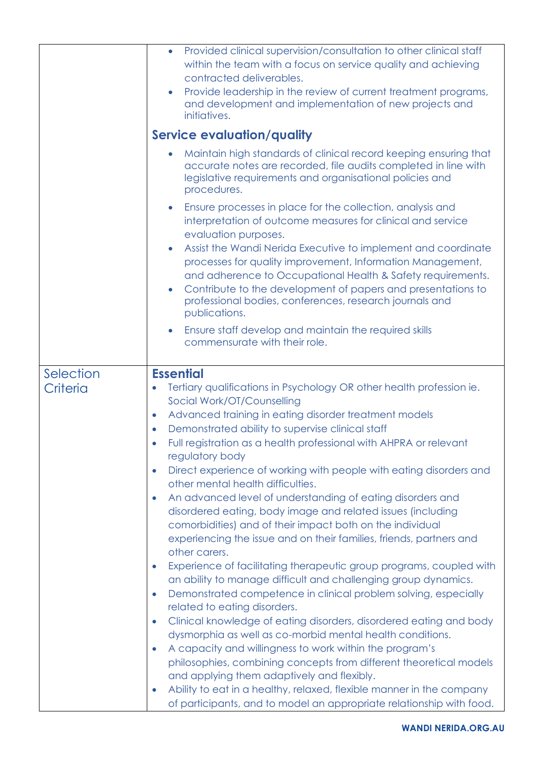|                       | Provided clinical supervision/consultation to other clinical staff<br>$\bullet$<br>within the team with a focus on service quality and achieving<br>contracted deliverables.<br>Provide leadership in the review of current treatment programs,<br>and development and implementation of new projects and<br>initiatives.<br><b>Service evaluation/quality</b><br>Maintain high standards of clinical record keeping ensuring that<br>accurate notes are recorded, file audits completed in line with<br>legislative requirements and organisational policies and<br>procedures.                                                                                                                                                                                                                                                                                                                                                                                                                                                                                                                                                                                                                                                                                                                                                                                                                                                                                                                                                                                                      |
|-----------------------|---------------------------------------------------------------------------------------------------------------------------------------------------------------------------------------------------------------------------------------------------------------------------------------------------------------------------------------------------------------------------------------------------------------------------------------------------------------------------------------------------------------------------------------------------------------------------------------------------------------------------------------------------------------------------------------------------------------------------------------------------------------------------------------------------------------------------------------------------------------------------------------------------------------------------------------------------------------------------------------------------------------------------------------------------------------------------------------------------------------------------------------------------------------------------------------------------------------------------------------------------------------------------------------------------------------------------------------------------------------------------------------------------------------------------------------------------------------------------------------------------------------------------------------------------------------------------------------|
|                       | Ensure processes in place for the collection, analysis and<br>interpretation of outcome measures for clinical and service<br>evaluation purposes.<br>Assist the Wandi Nerida Executive to implement and coordinate<br>$\bullet$<br>processes for quality improvement, Information Management,<br>and adherence to Occupational Health & Safety requirements.<br>Contribute to the development of papers and presentations to<br>$\bullet$<br>professional bodies, conferences, research journals and<br>publications.<br>Ensure staff develop and maintain the required skills<br>commensurate with their role.                                                                                                                                                                                                                                                                                                                                                                                                                                                                                                                                                                                                                                                                                                                                                                                                                                                                                                                                                                       |
| Selection<br>Criteria | <b>Essential</b><br>Tertiary qualifications in Psychology OR other health profession ie.<br>$\bullet$<br>Social Work/OT/Counselling<br>Advanced training in eating disorder treatment models<br>$\bullet$<br>Demonstrated ability to supervise clinical staff<br>$\bullet$<br>Full registration as a health professional with AHPRA or relevant<br>$\bullet$<br>regulatory body<br>Direct experience of working with people with eating disorders and<br>$\bullet$<br>other mental health difficulties.<br>An advanced level of understanding of eating disorders and<br>$\bullet$<br>disordered eating, body image and related issues (including<br>comorbidities) and of their impact both on the individual<br>experiencing the issue and on their families, friends, partners and<br>other carers.<br>Experience of facilitating therapeutic group programs, coupled with<br>$\bullet$<br>an ability to manage difficult and challenging group dynamics.<br>Demonstrated competence in clinical problem solving, especially<br>$\bullet$<br>related to eating disorders.<br>Clinical knowledge of eating disorders, disordered eating and body<br>$\bullet$<br>dysmorphia as well as co-morbid mental health conditions.<br>A capacity and willingness to work within the program's<br>$\bullet$<br>philosophies, combining concepts from different theoretical models<br>and applying them adaptively and flexibly.<br>Ability to eat in a healthy, relaxed, flexible manner in the company<br>$\bullet$<br>of participants, and to model an appropriate relationship with food. |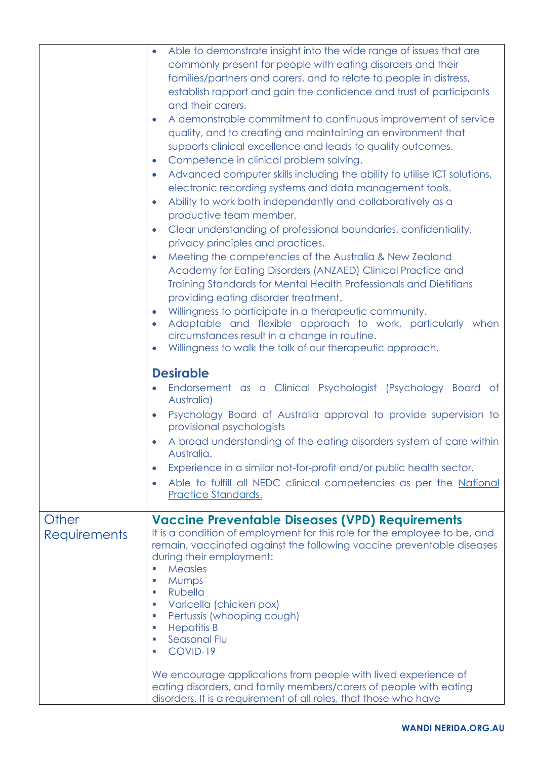|                              | Able to demonstrate insight into the wide range of issues that are<br>$\bullet$<br>commonly present for people with eating disorders and their<br>families/partners and carers, and to relate to people in distress,<br>establish rapport and gain the confidence and trust of participants<br>and their carers.<br>A demonstrable commitment to continuous improvement of service<br>$\bullet$<br>quality, and to creating and maintaining an environment that<br>supports clinical excellence and leads to quality outcomes.<br>Competence in clinical problem solving.<br>$\bullet$<br>Advanced computer skills including the ability to utilise ICT solutions,<br>$\bullet$<br>electronic recording systems and data management tools.<br>Ability to work both independently and collaboratively as a<br>$\bullet$<br>productive team member.<br>Clear understanding of professional boundaries, confidentiality,<br>$\bullet$<br>privacy principles and practices.<br>Meeting the competencies of the Australia & New Zealand<br>$\bullet$<br>Academy for Eating Disorders (ANZAED) Clinical Practice and<br>Training Standards for Mental Health Professionals and Dietitians<br>providing eating disorder treatment.<br>Willingness to participate in a therapeutic community.<br>$\bullet$<br>Adaptable and flexible approach to work, particularly when<br>$\bullet$<br>circumstances result in a change in routine.<br>Willingness to walk the talk of our therapeutic approach.<br>$\bullet$<br><b>Desirable</b><br>Endorsement as a Clinical Psychologist (Psychology Board of<br>Australia)<br>Psychology Board of Australia approval to provide supervision to<br>$\bullet$<br>provisional psychologists<br>A broad understanding of the eating disorders system of care within<br>Australia.<br>Experience in a similar not-for-profit and/or public health sector.<br>$\bullet$ |
|------------------------------|-------------------------------------------------------------------------------------------------------------------------------------------------------------------------------------------------------------------------------------------------------------------------------------------------------------------------------------------------------------------------------------------------------------------------------------------------------------------------------------------------------------------------------------------------------------------------------------------------------------------------------------------------------------------------------------------------------------------------------------------------------------------------------------------------------------------------------------------------------------------------------------------------------------------------------------------------------------------------------------------------------------------------------------------------------------------------------------------------------------------------------------------------------------------------------------------------------------------------------------------------------------------------------------------------------------------------------------------------------------------------------------------------------------------------------------------------------------------------------------------------------------------------------------------------------------------------------------------------------------------------------------------------------------------------------------------------------------------------------------------------------------------------------------------------------------------------------------------------------------------------------------------------|
|                              | Able to fulfill all NEDC clinical competencies as per the National<br>$\bullet$<br>Practice Standards.                                                                                                                                                                                                                                                                                                                                                                                                                                                                                                                                                                                                                                                                                                                                                                                                                                                                                                                                                                                                                                                                                                                                                                                                                                                                                                                                                                                                                                                                                                                                                                                                                                                                                                                                                                                          |
| Other<br><b>Requirements</b> | <b>Vaccine Preventable Diseases (VPD) Requirements</b><br>It is a condition of employment for this role for the employee to be, and<br>remain, vaccinated against the following vaccine preventable diseases<br>during their employment:<br><b>Measles</b><br>×<br><b>Mumps</b><br>×<br><b>Rubella</b><br>×.<br>Varicella (chicken pox)<br>×<br>Pertussis (whooping cough)<br>$\mathcal{C}$<br><b>Hepatitis B</b><br>$\mathcal{L}_{\mathcal{A}}$<br>Seasonal Flu<br>$\mathcal{C}$<br>COVID-19<br>×<br>We encourage applications from people with lived experience of<br>eating disorders, and family members/carers of people with eating<br>disorders. It is a requirement of all roles, that those who have                                                                                                                                                                                                                                                                                                                                                                                                                                                                                                                                                                                                                                                                                                                                                                                                                                                                                                                                                                                                                                                                                                                                                                                   |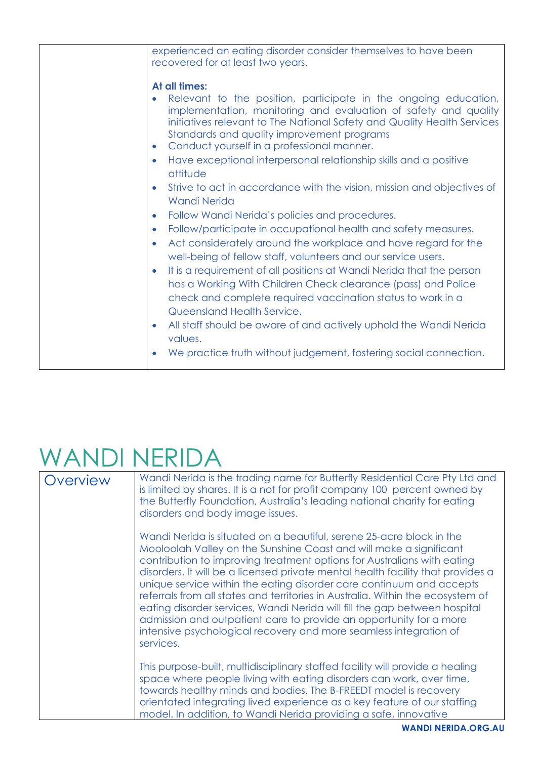| experienced an eating disorder consider themselves to have been<br>recovered for at least two years.                                                                                                                                                                                                                                                                                                                                                                                                                                                                                                                                                                                                                                                                                                                                                                                                                                                                                                                                                                                                                                                                                   |
|----------------------------------------------------------------------------------------------------------------------------------------------------------------------------------------------------------------------------------------------------------------------------------------------------------------------------------------------------------------------------------------------------------------------------------------------------------------------------------------------------------------------------------------------------------------------------------------------------------------------------------------------------------------------------------------------------------------------------------------------------------------------------------------------------------------------------------------------------------------------------------------------------------------------------------------------------------------------------------------------------------------------------------------------------------------------------------------------------------------------------------------------------------------------------------------|
| At all times:<br>Relevant to the position, participate in the ongoing education,<br>implementation, monitoring and evaluation of safety and quality<br>initiatives relevant to The National Safety and Quality Health Services<br>Standards and quality improvement programs<br>Conduct yourself in a professional manner.<br>$\bullet$<br>Have exceptional interpersonal relationship skills and a positive<br>$\bullet$<br>attitude<br>Strive to act in accordance with the vision, mission and objectives of<br>$\bullet$<br><b>Wandi Nerida</b><br>Follow Wandi Nerida's policies and procedures.<br>$\bullet$<br>Follow/participate in occupational health and safety measures.<br>$\bullet$<br>Act considerately around the workplace and have regard for the<br>$\bullet$<br>well-being of fellow staff, volunteers and our service users.<br>It is a requirement of all positions at Wandi Nerida that the person<br>$\bullet$<br>has a Working With Children Check clearance (pass) and Police<br>check and complete required vaccination status to work in a<br>Queensland Health Service.<br>All staff should be aware of and actively uphold the Wandi Nerida<br>$\bullet$ |
| values.<br>We practice truth without judgement, fostering social connection.                                                                                                                                                                                                                                                                                                                                                                                                                                                                                                                                                                                                                                                                                                                                                                                                                                                                                                                                                                                                                                                                                                           |

## WANDI NERIDA

| Overview | Wandi Nerida is the trading name for Butterfly Residential Care Pty Ltd and<br>is limited by shares. It is a not for profit company 100 percent owned by<br>the Butterfly Foundation, Australia's leading national charity for eating<br>disorders and body image issues.                                                                                                                                                                                                                                                                                                                                                                                                                                |
|----------|----------------------------------------------------------------------------------------------------------------------------------------------------------------------------------------------------------------------------------------------------------------------------------------------------------------------------------------------------------------------------------------------------------------------------------------------------------------------------------------------------------------------------------------------------------------------------------------------------------------------------------------------------------------------------------------------------------|
|          | Wandi Nerida is situated on a beautiful, serene 25-acre block in the<br>Mooloolah Valley on the Sunshine Coast and will make a significant<br>contribution to improving treatment options for Australians with eating<br>disorders. It will be a licensed private mental health facility that provides a<br>unique service within the eating disorder care continuum and accepts<br>referrals from all states and territories in Australia. Within the ecosystem of<br>eating disorder services, Wandi Nerida will fill the gap between hospital<br>admission and outpatient care to provide an opportunity for a more<br>intensive psychological recovery and more seamless integration of<br>services. |
|          | This purpose-built, multidisciplinary staffed facility will provide a healing<br>space where people living with eating disorders can work, over time,<br>towards healthy minds and bodies. The B-FREEDT model is recovery<br>orientated integrating lived experience as a key feature of our staffing<br>model. In addition, to Wandi Nerida providing a safe, innovative                                                                                                                                                                                                                                                                                                                                |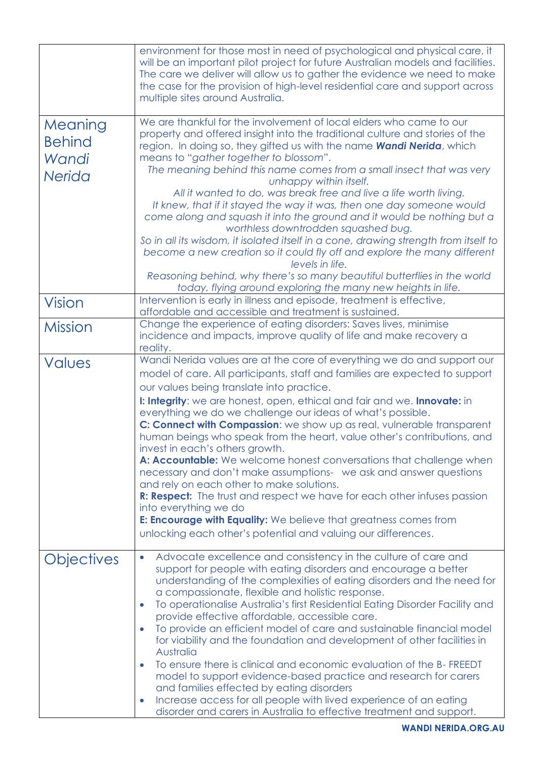|                                                    | environment for those most in need of psychological and physical care, it<br>will be an important pilot project for future Australian models and facilities.<br>The care we deliver will allow us to gather the evidence we need to make<br>the case for the provision of high-level residential care and support across<br>multiple sites around Australia.                                                                                                                                                                                                                                                                                                                                                                                                                                                                                                                                                                                                                     |
|----------------------------------------------------|----------------------------------------------------------------------------------------------------------------------------------------------------------------------------------------------------------------------------------------------------------------------------------------------------------------------------------------------------------------------------------------------------------------------------------------------------------------------------------------------------------------------------------------------------------------------------------------------------------------------------------------------------------------------------------------------------------------------------------------------------------------------------------------------------------------------------------------------------------------------------------------------------------------------------------------------------------------------------------|
| Meaning<br><b>Behind</b><br>Wandi<br><b>Nerida</b> | We are thankful for the involvement of local elders who came to our<br>property and offered insight into the traditional culture and stories of the<br>region. In doing so, they gifted us with the name <b>Wandi Nerida</b> , which<br>means to "gather together to blossom".<br>The meaning behind this name comes from a small insect that was very<br>unhappy within itself.<br>All it wanted to do, was break free and live a life worth living.<br>It knew, that if it stayed the way it was, then one day someone would<br>come along and squash it into the ground and it would be nothing but a<br>worthless downtrodden squashed bug.<br>So in all its wisdom, it isolated itself in a cone, drawing strength from itself to<br>become a new creation so it could fly off and explore the many different<br>levels in life.<br>Reasoning behind, why there's so many beautiful butterflies in the world                                                                |
| <b>Vision</b>                                      | today, flying around exploring the many new heights in life.<br>Intervention is early in illness and episode, treatment is effective,<br>affordable and accessible and treatment is sustained.                                                                                                                                                                                                                                                                                                                                                                                                                                                                                                                                                                                                                                                                                                                                                                                   |
| <b>Mission</b>                                     | Change the experience of eating disorders: Saves lives, minimise<br>incidence and impacts, improve quality of life and make recovery a<br>reality.                                                                                                                                                                                                                                                                                                                                                                                                                                                                                                                                                                                                                                                                                                                                                                                                                               |
| <b>Values</b>                                      | Wandi Nerida values are at the core of everything we do and support our<br>model of care. All participants, staff and families are expected to support<br>our values being translate into practice.<br>I: Integrity: we are honest, open, ethical and fair and we. Innovate: in<br>everything we do we challenge our ideas of what's possible.<br>C: Connect with Compassion: we show up as real, vulnerable transparent<br>human beings who speak from the heart, value other's contributions, and<br>invest in each's others growth.<br>A: Accountable: We welcome honest conversations that challenge when<br>necessary and don't make assumptions- we ask and answer questions<br>and rely on each other to make solutions.<br>R: Respect: The trust and respect we have for each other infuses passion<br>into everything we do<br><b>E: Encourage with Equality:</b> We believe that greatness comes from<br>unlocking each other's potential and valuing our differences. |
| <b>Objectives</b>                                  | Advocate excellence and consistency in the culture of care and<br>$\bullet$<br>support for people with eating disorders and encourage a better<br>understanding of the complexities of eating disorders and the need for<br>a compassionate, flexible and holistic response.<br>To operationalise Australia's first Residential Eating Disorder Facility and<br>provide effective affordable, accessible care.<br>To provide an efficient model of care and sustainable financial model<br>for viability and the foundation and development of other facilities in<br>Australia<br>To ensure there is clinical and economic evaluation of the B-FREEDT<br>model to support evidence-based practice and research for carers<br>and families effected by eating disorders<br>Increase access for all people with lived experience of an eating<br>disorder and carers in Australia to effective treatment and support.                                                             |